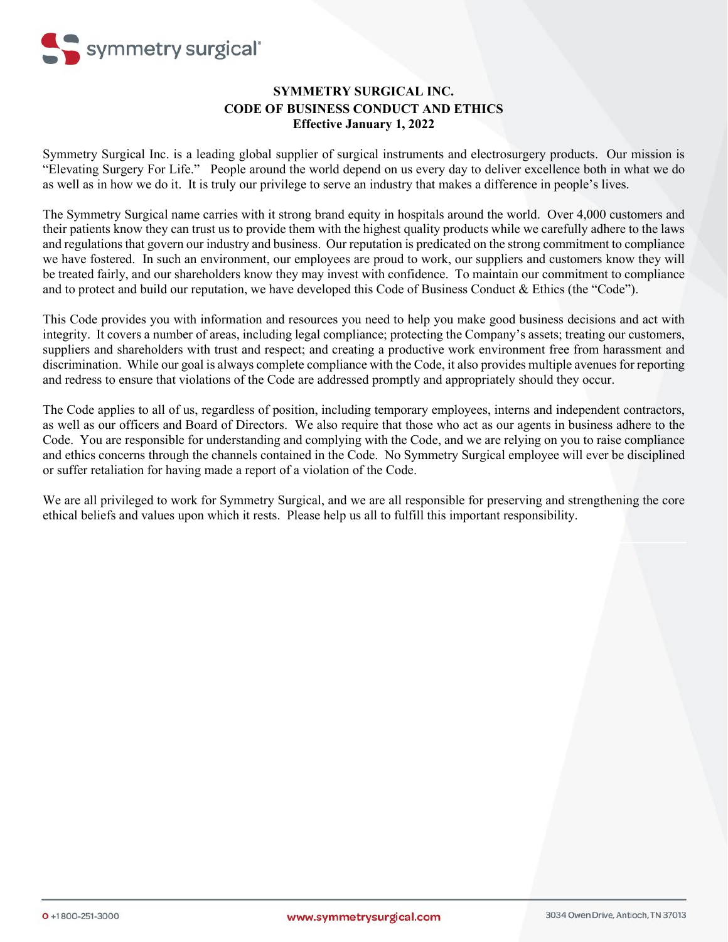

# **SYMMETRY SURGICAL INC. CODE OF BUSINESS CONDUCT AND ETHICS Effective January 1, 2022**

Symmetry Surgical Inc. is a leading global supplier of surgical instruments and electrosurgery products. Our mission is "Elevating Surgery For Life." People around the world depend on us every day to deliver excellence both in what we do as well as in how we do it. It is truly our privilege to serve an industry that makes a difference in people's lives.

The Symmetry Surgical name carries with it strong brand equity in hospitals around the world. Over 4,000 customers and their patients know they can trust us to provide them with the highest quality products while we carefully adhere to the laws and regulations that govern our industry and business. Our reputation is predicated on the strong commitment to compliance we have fostered. In such an environment, our employees are proud to work, our suppliers and customers know they will be treated fairly, and our shareholders know they may invest with confidence. To maintain our commitment to compliance and to protect and build our reputation, we have developed this Code of Business Conduct & Ethics (the "Code").

This Code provides you with information and resources you need to help you make good business decisions and act with integrity. It covers a number of areas, including legal compliance; protecting the Company's assets; treating our customers, suppliers and shareholders with trust and respect; and creating a productive work environment free from harassment and discrimination. While our goal is always complete compliance with the Code, it also provides multiple avenues for reporting and redress to ensure that violations of the Code are addressed promptly and appropriately should they occur.

The Code applies to all of us, regardless of position, including temporary employees, interns and independent contractors, as well as our officers and Board of Directors. We also require that those who act as our agents in business adhere to the Code. You are responsible for understanding and complying with the Code, and we are relying on you to raise compliance and ethics concerns through the channels contained in the Code. No Symmetry Surgical employee will ever be disciplined or suffer retaliation for having made a report of a violation of the Code.

We are all privileged to work for Symmetry Surgical, and we are all responsible for preserving and strengthening the core ethical beliefs and values upon which it rests. Please help us all to fulfill this important responsibility.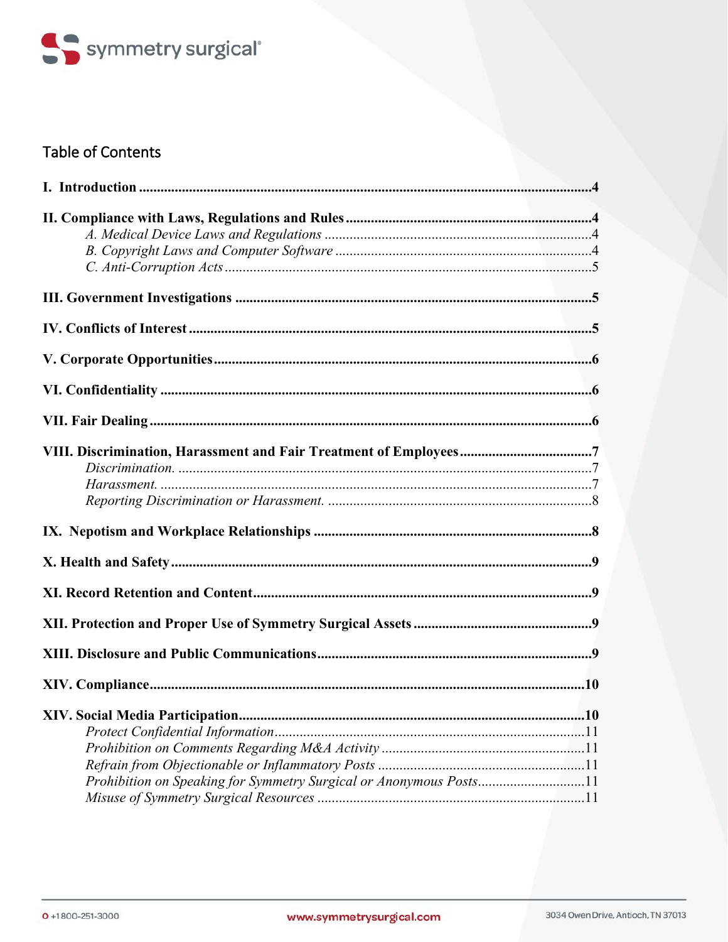

# **Table of Contents**

| .10                                                                |  |
|--------------------------------------------------------------------|--|
|                                                                    |  |
|                                                                    |  |
|                                                                    |  |
| Prohibition on Speaking for Symmetry Surgical or Anonymous Posts11 |  |
|                                                                    |  |
|                                                                    |  |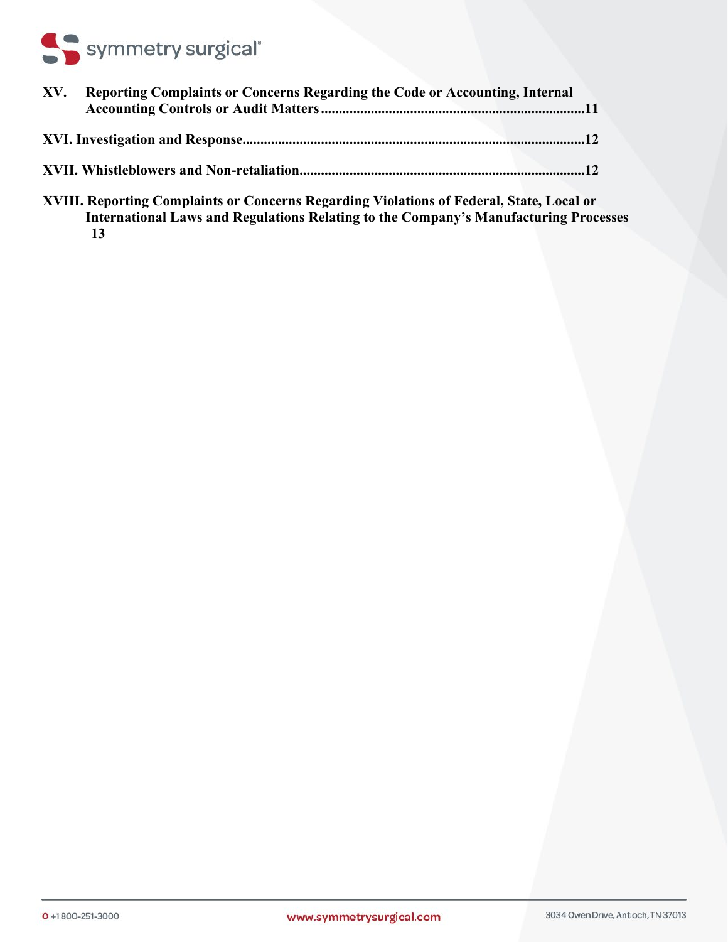# Symmetry surgical<sup>®</sup>

| XV. | <b>Reporting Complaints or Concerns Regarding the Code or Accounting, Internal</b> |  |
|-----|------------------------------------------------------------------------------------|--|
|     |                                                                                    |  |
|     |                                                                                    |  |
|     |                                                                                    |  |

**[XVIII. Reporting Complaints or Concerns Regarding Violations of Federal, State, Local or](#page-12-0)  [International Laws and Regulations Relating to the Company's Manufacturing Processes](#page-12-0) [13](#page-12-0)**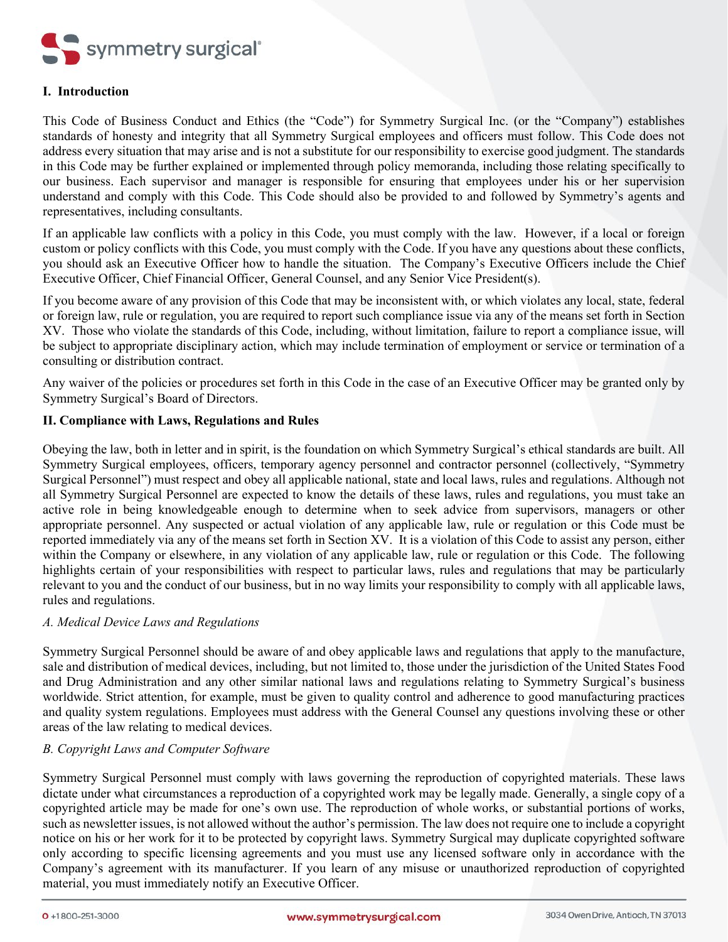

# <span id="page-3-0"></span>**I. Introduction**

This Code of Business Conduct and Ethics (the "Code") for Symmetry Surgical Inc. (or the "Company") establishes standards of honesty and integrity that all Symmetry Surgical employees and officers must follow. This Code does not address every situation that may arise and is not a substitute for our responsibility to exercise good judgment. The standards in this Code may be further explained or implemented through policy memoranda, including those relating specifically to our business. Each supervisor and manager is responsible for ensuring that employees under his or her supervision understand and comply with this Code. This Code should also be provided to and followed by Symmetry's agents and representatives, including consultants.

If an applicable law conflicts with a policy in this Code, you must comply with the law. However, if a local or foreign custom or policy conflicts with this Code, you must comply with the Code. If you have any questions about these conflicts, you should ask an Executive Officer how to handle the situation. The Company's Executive Officers include the Chief Executive Officer, Chief Financial Officer, General Counsel, and any Senior Vice President(s).

If you become aware of any provision of this Code that may be inconsistent with, or which violates any local, state, federal or foreign law, rule or regulation, you are required to report such compliance issue via any of the means set forth in Section XV. Those who violate the standards of this Code, including, without limitation, failure to report a compliance issue, will be subject to appropriate disciplinary action, which may include termination of employment or service or termination of a consulting or distribution contract.

Any waiver of the policies or procedures set forth in this Code in the case of an Executive Officer may be granted only by Symmetry Surgical's Board of Directors.

# <span id="page-3-1"></span>**II. Compliance with Laws, Regulations and Rules**

Obeying the law, both in letter and in spirit, is the foundation on which Symmetry Surgical's ethical standards are built. All Symmetry Surgical employees, officers, temporary agency personnel and contractor personnel (collectively, "Symmetry Surgical Personnel") must respect and obey all applicable national, state and local laws, rules and regulations. Although not all Symmetry Surgical Personnel are expected to know the details of these laws, rules and regulations, you must take an active role in being knowledgeable enough to determine when to seek advice from supervisors, managers or other appropriate personnel. Any suspected or actual violation of any applicable law, rule or regulation or this Code must be reported immediately via any of the means set forth in Section XV. It is a violation of this Code to assist any person, either within the Company or elsewhere, in any violation of any applicable law, rule or regulation or this Code. The following highlights certain of your responsibilities with respect to particular laws, rules and regulations that may be particularly relevant to you and the conduct of our business, but in no way limits your responsibility to comply with all applicable laws, rules and regulations.

# <span id="page-3-2"></span>*A. Medical Device Laws and Regulations*

Symmetry Surgical Personnel should be aware of and obey applicable laws and regulations that apply to the manufacture, sale and distribution of medical devices, including, but not limited to, those under the jurisdiction of the United States Food and Drug Administration and any other similar national laws and regulations relating to Symmetry Surgical's business worldwide. Strict attention, for example, must be given to quality control and adherence to good manufacturing practices and quality system regulations. Employees must address with the General Counsel any questions involving these or other areas of the law relating to medical devices.

### <span id="page-3-3"></span>*B. Copyright Laws and Computer Software*

Symmetry Surgical Personnel must comply with laws governing the reproduction of copyrighted materials. These laws dictate under what circumstances a reproduction of a copyrighted work may be legally made. Generally, a single copy of a copyrighted article may be made for one's own use. The reproduction of whole works, or substantial portions of works, such as newsletter issues, is not allowed without the author's permission. The law does not require one to include a copyright notice on his or her work for it to be protected by copyright laws. Symmetry Surgical may duplicate copyrighted software only according to specific licensing agreements and you must use any licensed software only in accordance with the Company's agreement with its manufacturer. If you learn of any misuse or unauthorized reproduction of copyrighted material, you must immediately notify an Executive Officer.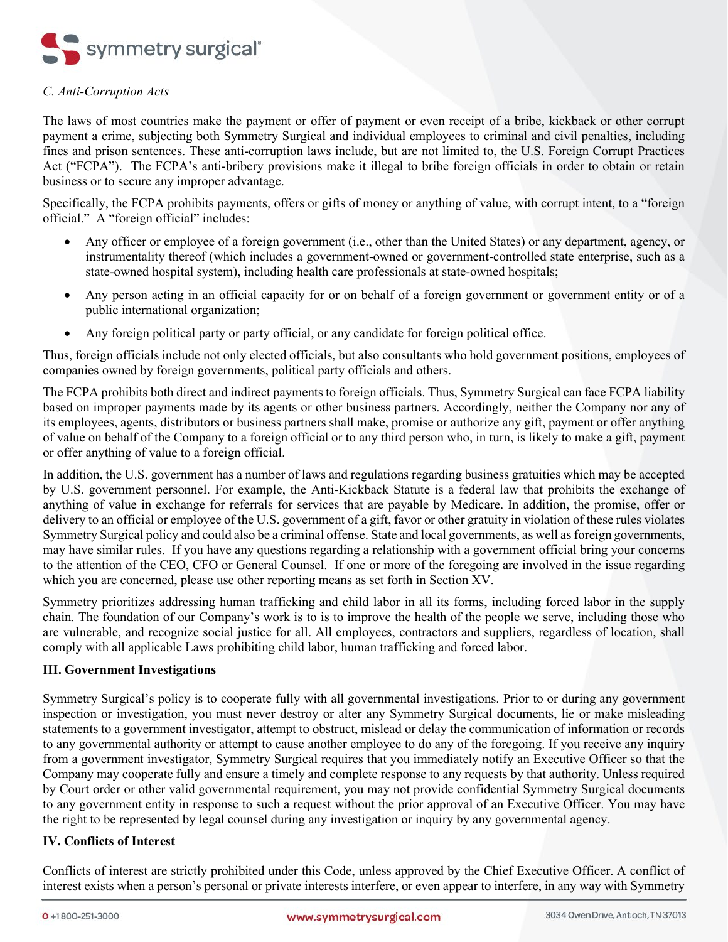

# <span id="page-4-0"></span>*C. Anti-Corruption Acts*

The laws of most countries make the payment or offer of payment or even receipt of a bribe, kickback or other corrupt payment a crime, subjecting both Symmetry Surgical and individual employees to criminal and civil penalties, including fines and prison sentences. These anti-corruption laws include, but are not limited to, the U.S. Foreign Corrupt Practices Act ("FCPA"). The FCPA's anti-bribery provisions make it illegal to bribe foreign officials in order to obtain or retain business or to secure any improper advantage.

Specifically, the FCPA prohibits payments, offers or gifts of money or anything of value, with corrupt intent, to a "foreign official." A "foreign official" includes:

- Any officer or employee of a foreign government (i.e., other than the United States) or any department, agency, or instrumentality thereof (which includes a government-owned or government-controlled state enterprise, such as a state-owned hospital system), including health care professionals at state-owned hospitals;
- Any person acting in an official capacity for or on behalf of a foreign government or government entity or of a public international organization;
- Any foreign political party or party official, or any candidate for foreign political office.

Thus, foreign officials include not only elected officials, but also consultants who hold government positions, employees of companies owned by foreign governments, political party officials and others.

The FCPA prohibits both direct and indirect payments to foreign officials. Thus, Symmetry Surgical can face FCPA liability based on improper payments made by its agents or other business partners. Accordingly, neither the Company nor any of its employees, agents, distributors or business partners shall make, promise or authorize any gift, payment or offer anything of value on behalf of the Company to a foreign official or to any third person who, in turn, is likely to make a gift, payment or offer anything of value to a foreign official.

In addition, the U.S. government has a number of laws and regulations regarding business gratuities which may be accepted by U.S. government personnel. For example, the Anti-Kickback Statute is a federal law that prohibits the exchange of anything of value in exchange for referrals for services that are payable by Medicare. In addition, the promise, offer or delivery to an official or employee of the U.S. government of a gift, favor or other gratuity in violation of these rules violates Symmetry Surgical policy and could also be a criminal offense. State and local governments, as well as foreign governments, may have similar rules. If you have any questions regarding a relationship with a government official bring your concerns to the attention of the CEO, CFO or General Counsel. If one or more of the foregoing are involved in the issue regarding which you are concerned, please use other reporting means as set forth in Section XV.

Symmetry prioritizes addressing human trafficking and child labor in all its forms, including forced labor in the supply chain. The foundation of our Company's work is to is to improve the health of the people we serve, including those who are vulnerable, and recognize social justice for all. All employees, contractors and suppliers, regardless of location, shall comply with all applicable Laws prohibiting child labor, human trafficking and forced labor.

### <span id="page-4-1"></span>**III. Government Investigations**

Symmetry Surgical's policy is to cooperate fully with all governmental investigations. Prior to or during any government inspection or investigation, you must never destroy or alter any Symmetry Surgical documents, lie or make misleading statements to a government investigator, attempt to obstruct, mislead or delay the communication of information or records to any governmental authority or attempt to cause another employee to do any of the foregoing. If you receive any inquiry from a government investigator, Symmetry Surgical requires that you immediately notify an Executive Officer so that the Company may cooperate fully and ensure a timely and complete response to any requests by that authority. Unless required by Court order or other valid governmental requirement, you may not provide confidential Symmetry Surgical documents to any government entity in response to such a request without the prior approval of an Executive Officer. You may have the right to be represented by legal counsel during any investigation or inquiry by any governmental agency.

# <span id="page-4-2"></span>**IV. Conflicts of Interest**

Conflicts of interest are strictly prohibited under this Code, unless approved by the Chief Executive Officer. A conflict of interest exists when a person's personal or private interests interfere, or even appear to interfere, in any way with Symmetry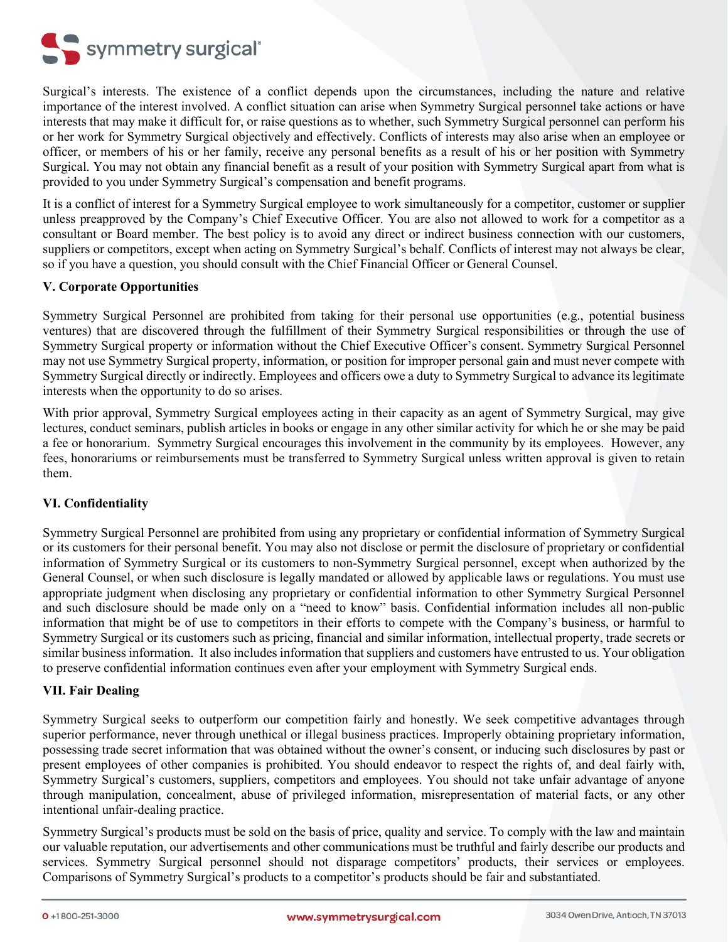

Surgical's interests. The existence of a conflict depends upon the circumstances, including the nature and relative importance of the interest involved. A conflict situation can arise when Symmetry Surgical personnel take actions or have interests that may make it difficult for, or raise questions as to whether, such Symmetry Surgical personnel can perform his or her work for Symmetry Surgical objectively and effectively. Conflicts of interests may also arise when an employee or officer, or members of his or her family, receive any personal benefits as a result of his or her position with Symmetry Surgical. You may not obtain any financial benefit as a result of your position with Symmetry Surgical apart from what is provided to you under Symmetry Surgical's compensation and benefit programs.

It is a conflict of interest for a Symmetry Surgical employee to work simultaneously for a competitor, customer or supplier unless preapproved by the Company's Chief Executive Officer. You are also not allowed to work for a competitor as a consultant or Board member. The best policy is to avoid any direct or indirect business connection with our customers, suppliers or competitors, except when acting on Symmetry Surgical's behalf. Conflicts of interest may not always be clear, so if you have a question, you should consult with the Chief Financial Officer or General Counsel.

### <span id="page-5-0"></span>**V. Corporate Opportunities**

Symmetry Surgical Personnel are prohibited from taking for their personal use opportunities (e.g., potential business ventures) that are discovered through the fulfillment of their Symmetry Surgical responsibilities or through the use of Symmetry Surgical property or information without the Chief Executive Officer's consent. Symmetry Surgical Personnel may not use Symmetry Surgical property, information, or position for improper personal gain and must never compete with Symmetry Surgical directly or indirectly. Employees and officers owe a duty to Symmetry Surgical to advance its legitimate interests when the opportunity to do so arises.

With prior approval, Symmetry Surgical employees acting in their capacity as an agent of Symmetry Surgical, may give lectures, conduct seminars, publish articles in books or engage in any other similar activity for which he or she may be paid a fee or honorarium. Symmetry Surgical encourages this involvement in the community by its employees. However, any fees, honorariums or reimbursements must be transferred to Symmetry Surgical unless written approval is given to retain them.

# <span id="page-5-1"></span>**VI. Confidentiality**

Symmetry Surgical Personnel are prohibited from using any proprietary or confidential information of Symmetry Surgical or its customers for their personal benefit. You may also not disclose or permit the disclosure of proprietary or confidential information of Symmetry Surgical or its customers to non-Symmetry Surgical personnel, except when authorized by the General Counsel, or when such disclosure is legally mandated or allowed by applicable laws or regulations. You must use appropriate judgment when disclosing any proprietary or confidential information to other Symmetry Surgical Personnel and such disclosure should be made only on a "need to know" basis. Confidential information includes all non-public information that might be of use to competitors in their efforts to compete with the Company's business, or harmful to Symmetry Surgical or its customers such as pricing, financial and similar information, intellectual property, trade secrets or similar business information. It also includes information that suppliers and customers have entrusted to us. Your obligation to preserve confidential information continues even after your employment with Symmetry Surgical ends.

### <span id="page-5-2"></span>**VII. Fair Dealing**

Symmetry Surgical seeks to outperform our competition fairly and honestly. We seek competitive advantages through superior performance, never through unethical or illegal business practices. Improperly obtaining proprietary information, possessing trade secret information that was obtained without the owner's consent, or inducing such disclosures by past or present employees of other companies is prohibited. You should endeavor to respect the rights of, and deal fairly with, Symmetry Surgical's customers, suppliers, competitors and employees. You should not take unfair advantage of anyone through manipulation, concealment, abuse of privileged information, misrepresentation of material facts, or any other intentional unfair-dealing practice.

Symmetry Surgical's products must be sold on the basis of price, quality and service. To comply with the law and maintain our valuable reputation, our advertisements and other communications must be truthful and fairly describe our products and services. Symmetry Surgical personnel should not disparage competitors' products, their services or employees. Comparisons of Symmetry Surgical's products to a competitor's products should be fair and substantiated.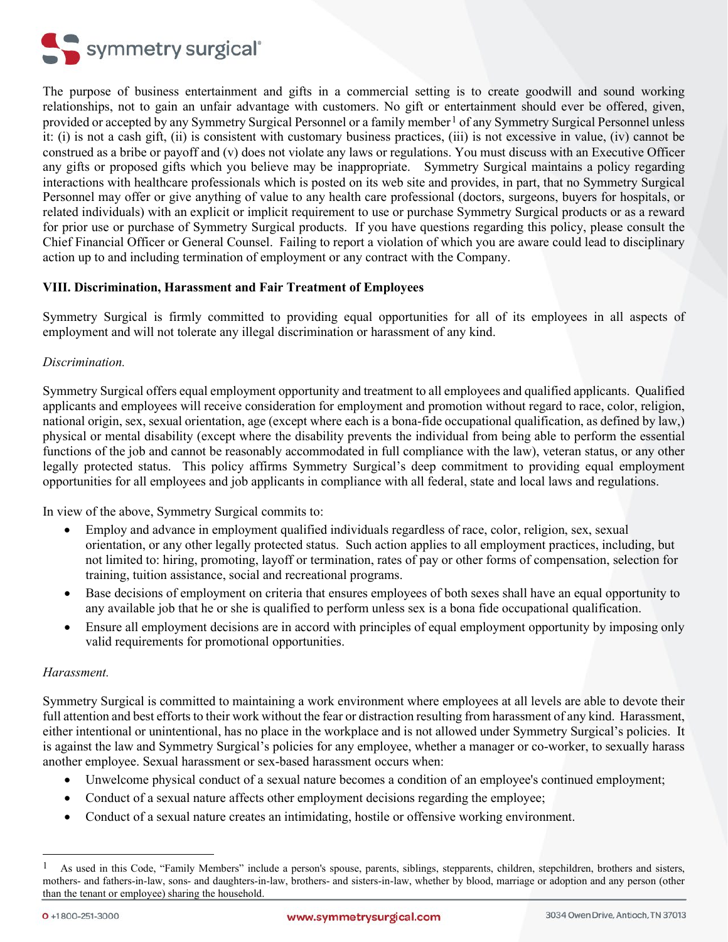

The purpose of business entertainment and gifts in a commercial setting is to create goodwill and sound working relationships, not to gain an unfair advantage with customers. No gift or entertainment should ever be offered, given, provided or accepted by any Symmetry Surgical Personnel or a family member<sup>[1](#page-6-3)</sup> of any Symmetry Surgical Personnel unless it: (i) is not a cash gift, (ii) is consistent with customary business practices, (iii) is not excessive in value, (iv) cannot be construed as a bribe or payoff and (v) does not violate any laws or regulations. You must discuss with an Executive Officer any gifts or proposed gifts which you believe may be inappropriate. Symmetry Surgical maintains a policy regarding interactions with healthcare professionals which is posted on its web site and provides, in part, that no Symmetry Surgical Personnel may offer or give anything of value to any health care professional (doctors, surgeons, buyers for hospitals, or related individuals) with an explicit or implicit requirement to use or purchase Symmetry Surgical products or as a reward for prior use or purchase of Symmetry Surgical products. If you have questions regarding this policy, please consult the Chief Financial Officer or General Counsel. Failing to report a violation of which you are aware could lead to disciplinary action up to and including termination of employment or any contract with the Company.

# <span id="page-6-0"></span>**VIII. Discrimination, Harassment and Fair Treatment of Employees**

Symmetry Surgical is firmly committed to providing equal opportunities for all of its employees in all aspects of employment and will not tolerate any illegal discrimination or harassment of any kind.

### <span id="page-6-1"></span>*Discrimination.*

Symmetry Surgical offers equal employment opportunity and treatment to all employees and qualified applicants. Qualified applicants and employees will receive consideration for employment and promotion without regard to race, color, religion, national origin, sex, sexual orientation, age (except where each is a bona-fide occupational qualification, as defined by law,) physical or mental disability (except where the disability prevents the individual from being able to perform the essential functions of the job and cannot be reasonably accommodated in full compliance with the law), veteran status, or any other legally protected status. This policy affirms Symmetry Surgical's deep commitment to providing equal employment opportunities for all employees and job applicants in compliance with all federal, state and local laws and regulations.

In view of the above, Symmetry Surgical commits to:

- Employ and advance in employment qualified individuals regardless of race, color, religion, sex, sexual orientation, or any other legally protected status. Such action applies to all employment practices, including, but not limited to: hiring, promoting, layoff or termination, rates of pay or other forms of compensation, selection for training, tuition assistance, social and recreational programs.
- Base decisions of employment on criteria that ensures employees of both sexes shall have an equal opportunity to any available job that he or she is qualified to perform unless sex is a bona fide occupational qualification.
- Ensure all employment decisions are in accord with principles of equal employment opportunity by imposing only valid requirements for promotional opportunities.

### <span id="page-6-2"></span>*Harassment.*

Symmetry Surgical is committed to maintaining a work environment where employees at all levels are able to devote their full attention and best efforts to their work without the fear or distraction resulting from harassment of any kind. Harassment, either intentional or unintentional, has no place in the workplace and is not allowed under Symmetry Surgical's policies. It is against the law and Symmetry Surgical's policies for any employee, whether a manager or co-worker, to sexually harass another employee. Sexual harassment or sex-based harassment occurs when:

- Unwelcome physical conduct of a sexual nature becomes a condition of an employee's continued employment;
- Conduct of a sexual nature affects other employment decisions regarding the employee;
- Conduct of a sexual nature creates an intimidating, hostile or offensive working environment.

<span id="page-6-3"></span> $<sup>1</sup>$  As used in this Code, "Family Members" include a person's spouse, parents, siblings, stepparents, children, stepchildren, brothers and sisters,</sup> mothers- and fathers-in-law, sons- and daughters-in-law, brothers- and sisters-in-law, whether by blood, marriage or adoption and any person (other than the tenant or employee) sharing the household.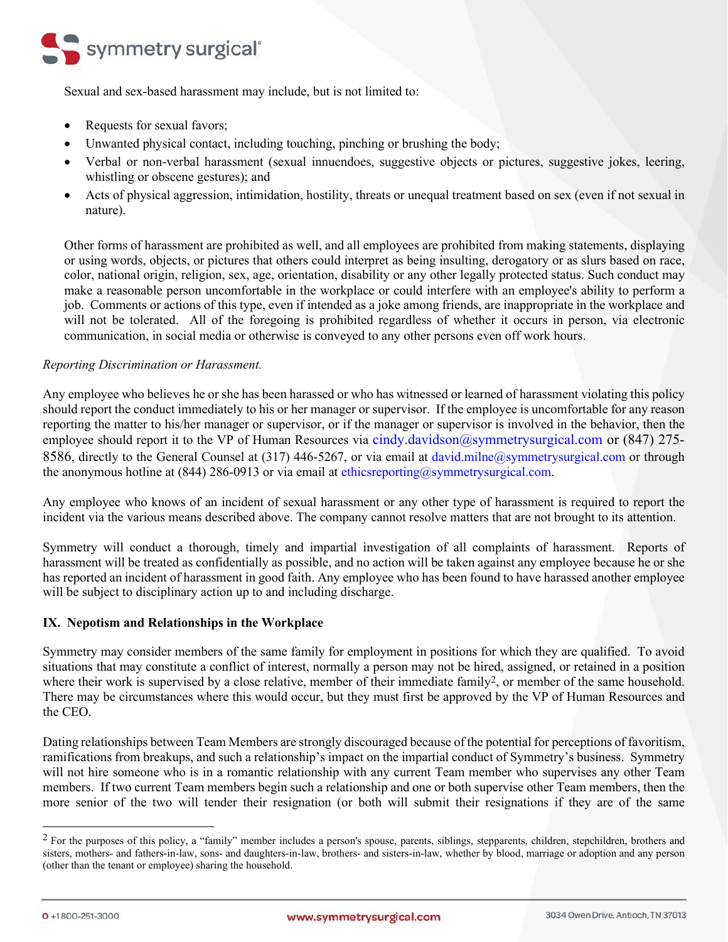

Sexual and sex-based harassment may include, but is not limited to:

- Requests for sexual favors;
- Unwanted physical contact, including touching, pinching or brushing the body;
- Verbal or non-verbal harassment (sexual innuendoes, suggestive objects or pictures, suggestive jokes, leering, whistling or obscene gestures); and
- Acts of physical aggression, intimidation, hostility, threats or unequal treatment based on sex (even if not sexual in nature).

Other forms of harassment are prohibited as well, and all employees are prohibited from making statements, displaying or using words, objects, or pictures that others could interpret as being insulting, derogatory or as slurs based on race, color, national origin, religion, sex, age, orientation, disability or any other legally protected status. Such conduct may make a reasonable person uncomfortable in the workplace or could interfere with an employee's ability to perform a job. Comments or actions of this type, even if intended as a joke among friends, are inappropriate in the workplace and will not be tolerated. All of the foregoing is prohibited regardless of whether it occurs in person, via electronic communication, in social media or otherwise is conveyed to any other persons even off work hours.

### <span id="page-7-0"></span>*Reporting Discrimination or Harassment.*

Any employee who believes he or she has been harassed or who has witnessed or learned of harassment violating this policy should report the conduct immediately to his or her manager or supervisor. If the employee is uncomfortable for any reason reporting the matter to his/her manager or supervisor, or if the manager or supervisor is involved in the behavior, then the employee should report it to the VP of Human Resources via [cindy.davidson@symmetrysurgical.com](mailto:cindy.davidson@symmetrysurgical.com) or (847) 2758586, directly to the General Counsel at (317) 446-5267, or via email at [david.milne@symmetrysurgical.com](file://ssifile01/home/David.Milne/HR%20Documents/Handbooks/SSRG/david.milne@symmetrysurgical.com) or through the anonymous hotline at  $(844)$  286-0913 or via email at [ethicsreporting@symmetrysurgical.com.](mailto:ethicsreporting@symmetrysurgical.com)

Any employee who knows of an incident of sexual harassment or any other type of harassment is required to report the incident via the various means described above. The company cannot resolve matters that are not brought to its attention.

Symmetry will conduct a thorough, timely and impartial investigation of all complaints of harassment. Reports of harassment will be treated as confidentially as possible, and no action will be taken against any employee because he or she has reported an incident of harassment in good faith. Any employee who has been found to have harassed another employee will be subject to disciplinary action up to and including discharge.

### <span id="page-7-1"></span>**IX. Nepotism and Relationships in the Workplace**

Symmetry may consider members of the same family for employment in positions for which they are qualified. To avoid situations that may constitute a conflict of interest, normally a person may not be hired, assigned, or retained in a position where their work is supervised by a close relative, member of their immediate family<sup>[2](#page-7-2)</sup>, or member of the same household. There may be circumstances where this would occur, but they must first be approved by the VP of Human Resources and the CEO.

Dating relationships between Team Members are strongly discouraged because of the potential for perceptions of favoritism, ramifications from breakups, and such a relationship's impact on the impartial conduct of Symmetry's business. Symmetry will not hire someone who is in a romantic relationship with any current Team member who supervises any other Team members. If two current Team members begin such a relationship and one or both supervise other Team members, then the more senior of the two will tender their resignation (or both will submit their resignations if they are of the same

<span id="page-7-2"></span> $<sup>2</sup>$  For the purposes of this policy, a "family" member includes a person's spouse, parents, siblings, stepparents, children, stepchildren, brothers and</sup> sisters, mothers- and fathers-in-law, sons- and daughters-in-law, brothers- and sisters-in-law, whether by blood, marriage or adoption and any person (other than the tenant or employee) sharing the household.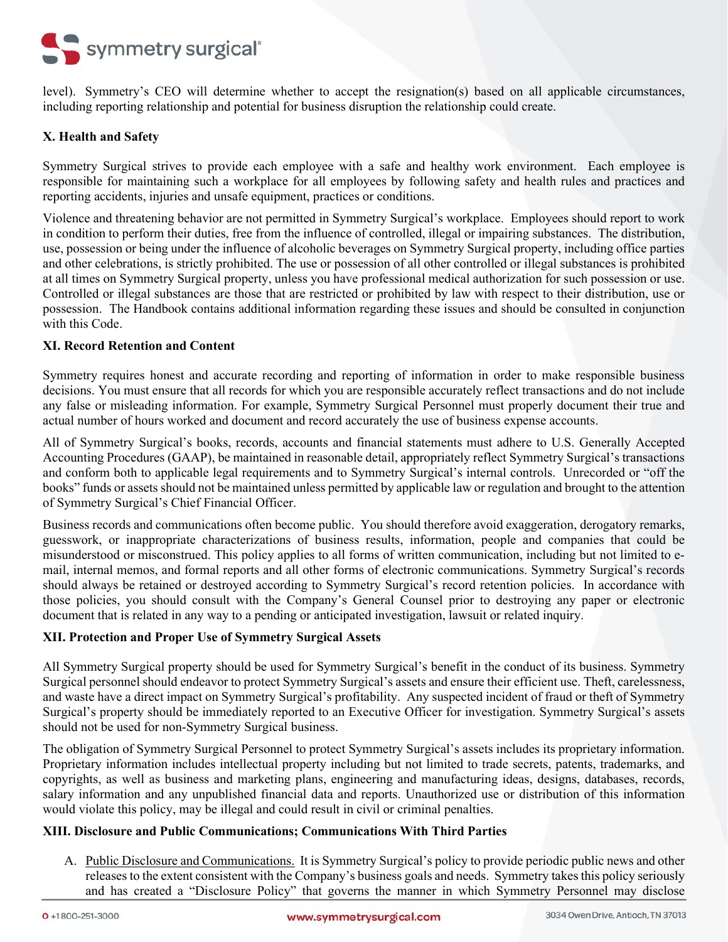

level). Symmetry's CEO will determine whether to accept the resignation(s) based on all applicable circumstances, including reporting relationship and potential for business disruption the relationship could create.

# <span id="page-8-0"></span>**X. Health and Safety**

Symmetry Surgical strives to provide each employee with a safe and healthy work environment. Each employee is responsible for maintaining such a workplace for all employees by following safety and health rules and practices and reporting accidents, injuries and unsafe equipment, practices or conditions.

Violence and threatening behavior are not permitted in Symmetry Surgical's workplace. Employees should report to work in condition to perform their duties, free from the influence of controlled, illegal or impairing substances. The distribution, use, possession or being under the influence of alcoholic beverages on Symmetry Surgical property, including office parties and other celebrations, is strictly prohibited. The use or possession of all other controlled or illegal substances is prohibited at all times on Symmetry Surgical property, unless you have professional medical authorization for such possession or use. Controlled or illegal substances are those that are restricted or prohibited by law with respect to their distribution, use or possession. The Handbook contains additional information regarding these issues and should be consulted in conjunction with this Code.

### <span id="page-8-1"></span>**XI. Record Retention and Content**

Symmetry requires honest and accurate recording and reporting of information in order to make responsible business decisions. You must ensure that all records for which you are responsible accurately reflect transactions and do not include any false or misleading information. For example, Symmetry Surgical Personnel must properly document their true and actual number of hours worked and document and record accurately the use of business expense accounts.

All of Symmetry Surgical's books, records, accounts and financial statements must adhere to U.S. Generally Accepted Accounting Procedures (GAAP), be maintained in reasonable detail, appropriately reflect Symmetry Surgical's transactions and conform both to applicable legal requirements and to Symmetry Surgical's internal controls. Unrecorded or "off the books" funds or assets should not be maintained unless permitted by applicable law or regulation and brought to the attention of Symmetry Surgical's Chief Financial Officer.

Business records and communications often become public. You should therefore avoid exaggeration, derogatory remarks, guesswork, or inappropriate characterizations of business results, information, people and companies that could be misunderstood or misconstrued. This policy applies to all forms of written communication, including but not limited to email, internal memos, and formal reports and all other forms of electronic communications. Symmetry Surgical's records should always be retained or destroyed according to Symmetry Surgical's record retention policies. In accordance with those policies, you should consult with the Company's General Counsel prior to destroying any paper or electronic document that is related in any way to a pending or anticipated investigation, lawsuit or related inquiry.

### <span id="page-8-2"></span>**XII. Protection and Proper Use of Symmetry Surgical Assets**

All Symmetry Surgical property should be used for Symmetry Surgical's benefit in the conduct of its business. Symmetry Surgical personnel should endeavor to protect Symmetry Surgical's assets and ensure their efficient use. Theft, carelessness, and waste have a direct impact on Symmetry Surgical's profitability. Any suspected incident of fraud or theft of Symmetry Surgical's property should be immediately reported to an Executive Officer for investigation. Symmetry Surgical's assets should not be used for non-Symmetry Surgical business.

The obligation of Symmetry Surgical Personnel to protect Symmetry Surgical's assets includes its proprietary information. Proprietary information includes intellectual property including but not limited to trade secrets, patents, trademarks, and copyrights, as well as business and marketing plans, engineering and manufacturing ideas, designs, databases, records, salary information and any unpublished financial data and reports. Unauthorized use or distribution of this information would violate this policy, may be illegal and could result in civil or criminal penalties.

### <span id="page-8-3"></span>**XIII. Disclosure and Public Communications; Communications With Third Parties**

A. Public Disclosure and Communications. It is Symmetry Surgical's policy to provide periodic public news and other releases to the extent consistent with the Company's business goals and needs. Symmetry takes this policy seriously and has created a "Disclosure Policy" that governs the manner in which Symmetry Personnel may disclose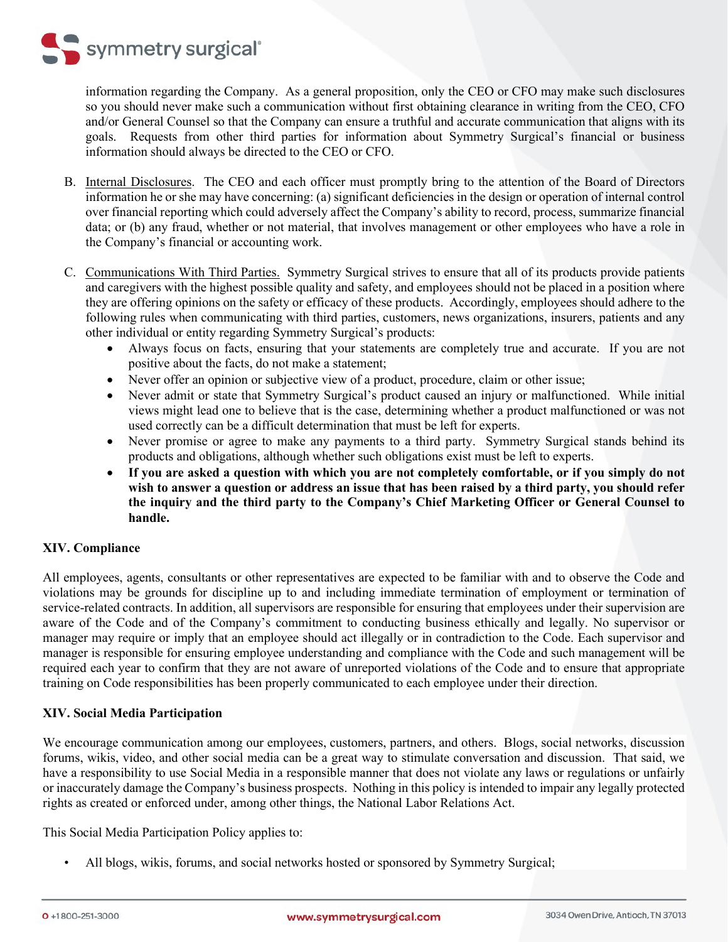

information regarding the Company. As a general proposition, only the CEO or CFO may make such disclosures so you should never make such a communication without first obtaining clearance in writing from the CEO, CFO and/or General Counsel so that the Company can ensure a truthful and accurate communication that aligns with its goals. Requests from other third parties for information about Symmetry Surgical's financial or business information should always be directed to the CEO or CFO.

- B. Internal Disclosures. The CEO and each officer must promptly bring to the attention of the Board of Directors information he or she may have concerning: (a) significant deficiencies in the design or operation of internal control over financial reporting which could adversely affect the Company's ability to record, process, summarize financial data; or (b) any fraud, whether or not material, that involves management or other employees who have a role in the Company's financial or accounting work.
- C. Communications With Third Parties. Symmetry Surgical strives to ensure that all of its products provide patients and caregivers with the highest possible quality and safety, and employees should not be placed in a position where they are offering opinions on the safety or efficacy of these products. Accordingly, employees should adhere to the following rules when communicating with third parties, customers, news organizations, insurers, patients and any other individual or entity regarding Symmetry Surgical's products:
	- Always focus on facts, ensuring that your statements are completely true and accurate. If you are not positive about the facts, do not make a statement;
	- Never offer an opinion or subjective view of a product, procedure, claim or other issue;
	- Never admit or state that Symmetry Surgical's product caused an injury or malfunctioned. While initial views might lead one to believe that is the case, determining whether a product malfunctioned or was not used correctly can be a difficult determination that must be left for experts.
	- Never promise or agree to make any payments to a third party. Symmetry Surgical stands behind its products and obligations, although whether such obligations exist must be left to experts.
	- **If you are asked a question with which you are not completely comfortable, or if you simply do not wish to answer a question or address an issue that has been raised by a third party, you should refer the inquiry and the third party to the Company's Chief Marketing Officer or General Counsel to handle.**

# <span id="page-9-0"></span>**XIV. Compliance**

All employees, agents, consultants or other representatives are expected to be familiar with and to observe the Code and violations may be grounds for discipline up to and including immediate termination of employment or termination of service-related contracts. In addition, all supervisors are responsible for ensuring that employees under their supervision are aware of the Code and of the Company's commitment to conducting business ethically and legally. No supervisor or manager may require or imply that an employee should act illegally or in contradiction to the Code. Each supervisor and manager is responsible for ensuring employee understanding and compliance with the Code and such management will be required each year to confirm that they are not aware of unreported violations of the Code and to ensure that appropriate training on Code responsibilities has been properly communicated to each employee under their direction.

# <span id="page-9-1"></span>**XIV. Social Media Participation**

We encourage communication among our employees, customers, partners, and others. Blogs, social networks, discussion forums, wikis, video, and other social media can be a great way to stimulate conversation and discussion. That said, we have a responsibility to use Social Media in a responsible manner that does not violate any laws or regulations or unfairly or inaccurately damage the Company's business prospects. Nothing in this policy is intended to impair any legally protected rights as created or enforced under, among other things, the National Labor Relations Act.

This Social Media Participation Policy applies to:

• All blogs, wikis, forums, and social networks hosted or sponsored by Symmetry Surgical;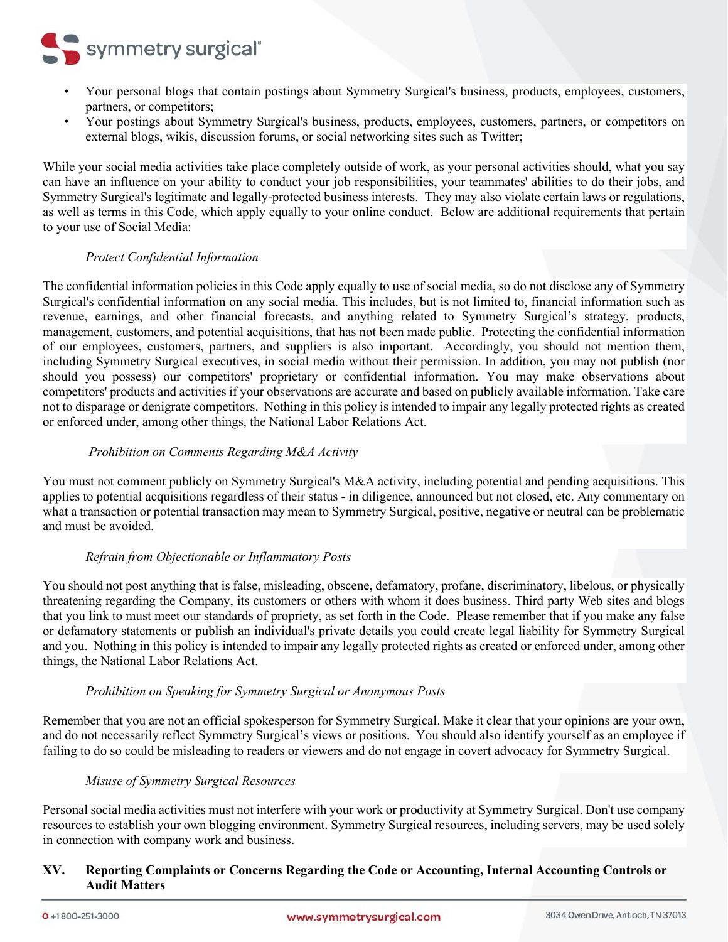

- Your personal blogs that contain postings about Symmetry Surgical's business, products, employees, customers, partners, or competitors;
- Your postings about Symmetry Surgical's business, products, employees, customers, partners, or competitors on external blogs, wikis, discussion forums, or social networking sites such as Twitter;

While your social media activities take place completely outside of work, as your personal activities should, what you say can have an influence on your ability to conduct your job responsibilities, your teammates' abilities to do their jobs, and Symmetry Surgical's legitimate and legally-protected business interests. They may also violate certain laws or regulations, as well as terms in this Code, which apply equally to your online conduct. Below are additional requirements that pertain to your use of Social Media:

### *Protect Confidential Information*

<span id="page-10-0"></span>The confidential information policies in this Code apply equally to use of social media, so do not disclose any of Symmetry Surgical's confidential information on any social media. This includes, but is not limited to, financial information such as revenue, earnings, and other financial forecasts, and anything related to Symmetry Surgical's strategy, products, management, customers, and potential acquisitions, that has not been made public. Protecting the confidential information of our employees, customers, partners, and suppliers is also important. Accordingly, you should not mention them, including Symmetry Surgical executives, in social media without their permission. In addition, you may not publish (nor should you possess) our competitors' proprietary or confidential information. You may make observations about competitors' products and activities if your observations are accurate and based on publicly available information. Take care not to disparage or denigrate competitors. Nothing in this policy is intended to impair any legally protected rights as created or enforced under, among other things, the National Labor Relations Act.

### <span id="page-10-1"></span>*Prohibition on Comments Regarding M&A Activity*

You must not comment publicly on Symmetry Surgical's M&A activity, including potential and pending acquisitions. This applies to potential acquisitions regardless of their status - in diligence, announced but not closed, etc. Any commentary on what a transaction or potential transaction may mean to Symmetry Surgical, positive, negative or neutral can be problematic and must be avoided.

### *Refrain from Objectionable or Inflammatory Posts*

<span id="page-10-2"></span>You should not post anything that is false, misleading, obscene, defamatory, profane, discriminatory, libelous, or physically threatening regarding the Company, its customers or others with whom it does business. Third party Web sites and blogs that you link to must meet our standards of propriety, as set forth in the Code. Please remember that if you make any false or defamatory statements or publish an individual's private details you could create legal liability for Symmetry Surgical and you. Nothing in this policy is intended to impair any legally protected rights as created or enforced under, among other things, the National Labor Relations Act.

### *Prohibition on Speaking for Symmetry Surgical or Anonymous Posts*

<span id="page-10-3"></span>Remember that you are not an official spokesperson for Symmetry Surgical. Make it clear that your opinions are your own, and do not necessarily reflect Symmetry Surgical's views or positions. You should also identify yourself as an employee if failing to do so could be misleading to readers or viewers and do not engage in covert advocacy for Symmetry Surgical.

### <span id="page-10-4"></span>*Misuse of Symmetry Surgical Resources*

Personal social media activities must not interfere with your work or productivity at Symmetry Surgical. Don't use company resources to establish your own blogging environment. Symmetry Surgical resources, including servers, may be used solely in connection with company work and business.

# <span id="page-10-5"></span>**XV. Reporting Complaints or Concerns Regarding the Code or Accounting, Internal Accounting Controls or Audit Matters**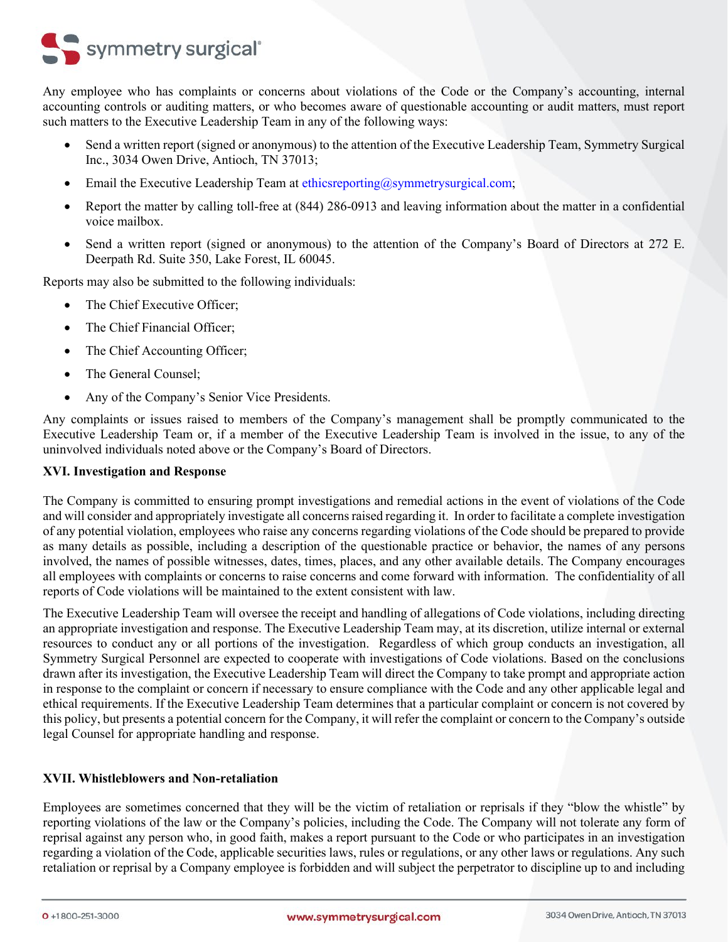# symmetry surgical<sup>®</sup>

Any employee who has complaints or concerns about violations of the Code or the Company's accounting, internal accounting controls or auditing matters, or who becomes aware of questionable accounting or audit matters, must report such matters to the Executive Leadership Team in any of the following ways:

- Send a written report (signed or anonymous) to the attention of the Executive Leadership Team, Symmetry Surgical Inc., 3034 Owen Drive, Antioch, TN 37013;
- Email the Executive Leadership Team at [ethicsreporting@symmetrysurgical.com;](mailto:ethicsreporting@symmetrysurgical.com)
- Report the matter by calling toll-free at (844) 286-0913 and leaving information about the matter in a confidential voice mailbox.
- Send a written report (signed or anonymous) to the attention of the Company's Board of Directors at 272 E. Deerpath Rd. Suite 350, Lake Forest, IL 60045.

Reports may also be submitted to the following individuals:

- The Chief Executive Officer:
- The Chief Financial Officer:
- The Chief Accounting Officer;
- The General Counsel:
- Any of the Company's Senior Vice Presidents.

Any complaints or issues raised to members of the Company's management shall be promptly communicated to the Executive Leadership Team or, if a member of the Executive Leadership Team is involved in the issue, to any of the uninvolved individuals noted above or the Company's Board of Directors.

# <span id="page-11-0"></span>**XVI. Investigation and Response**

The Company is committed to ensuring prompt investigations and remedial actions in the event of violations of the Code and will consider and appropriately investigate all concerns raised regarding it. In order to facilitate a complete investigation of any potential violation, employees who raise any concerns regarding violations of the Code should be prepared to provide as many details as possible, including a description of the questionable practice or behavior, the names of any persons involved, the names of possible witnesses, dates, times, places, and any other available details. The Company encourages all employees with complaints or concerns to raise concerns and come forward with information. The confidentiality of all reports of Code violations will be maintained to the extent consistent with law.

The Executive Leadership Team will oversee the receipt and handling of allegations of Code violations, including directing an appropriate investigation and response. The Executive Leadership Team may, at its discretion, utilize internal or external resources to conduct any or all portions of the investigation. Regardless of which group conducts an investigation, all Symmetry Surgical Personnel are expected to cooperate with investigations of Code violations. Based on the conclusions drawn after its investigation, the Executive Leadership Team will direct the Company to take prompt and appropriate action in response to the complaint or concern if necessary to ensure compliance with the Code and any other applicable legal and ethical requirements. If the Executive Leadership Team determines that a particular complaint or concern is not covered by this policy, but presents a potential concern for the Company, it will refer the complaint or concern to the Company's outside legal Counsel for appropriate handling and response.

# <span id="page-11-1"></span>**XVII. Whistleblowers and Non-retaliation**

Employees are sometimes concerned that they will be the victim of retaliation or reprisals if they "blow the whistle" by reporting violations of the law or the Company's policies, including the Code. The Company will not tolerate any form of reprisal against any person who, in good faith, makes a report pursuant to the Code or who participates in an investigation regarding a violation of the Code, applicable securities laws, rules or regulations, or any other laws or regulations. Any such retaliation or reprisal by a Company employee is forbidden and will subject the perpetrator to discipline up to and including